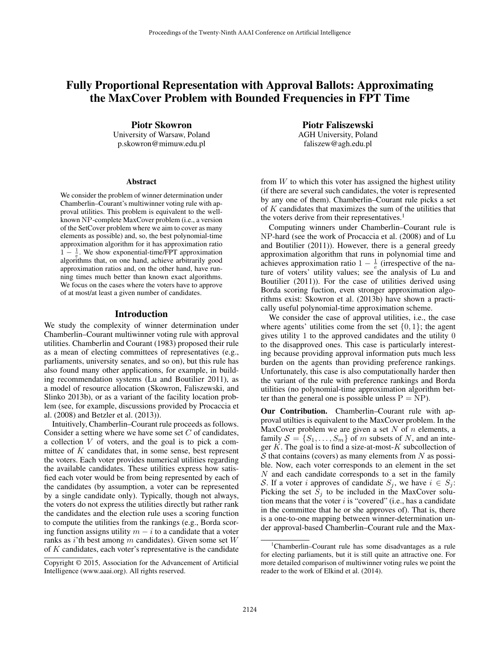# Fully Proportional Representation with Approval Ballots: Approximating the MaxCover Problem with Bounded Frequencies in FPT Time

Piotr Skowron University of Warsaw, Poland p.skowron@mimuw.edu.pl

#### **Abstract**

We consider the problem of winner determination under Chamberlin–Courant's multiwinner voting rule with approval utilities. This problem is equivalent to the wellknown NP-complete MaxCover problem (i.e., a version of the SetCover problem where we aim to cover as many elements as possible) and, so, the best polynomial-time approximation algorithm for it has approximation ratio  $1 - \frac{1}{e}$ . We show exponential-time/FPT approximation algorithms that, on one hand, achieve arbitrarily good approximation ratios and, on the other hand, have running times much better than known exact algorithms. We focus on the cases where the voters have to approve of at most/at least a given number of candidates.

#### Introduction

We study the complexity of winner determination under Chamberlin–Courant multiwinner voting rule with approval utilities. Chamberlin and Courant (1983) proposed their rule as a mean of electing committees of representatives (e.g., parliaments, university senates, and so on), but this rule has also found many other applications, for example, in building recommendation systems (Lu and Boutilier 2011), as a model of resource allocation (Skowron, Faliszewski, and Slinko 2013b), or as a variant of the facility location problem (see, for example, discussions provided by Procaccia et al. (2008) and Betzler et al. (2013)).

Intuitively, Chamberlin–Courant rule proceeds as follows. Consider a setting where we have some set  $C$  of candidates, a collection V of voters, and the goal is to pick a committee of K candidates that, in some sense, best represent the voters. Each voter provides numerical utilities regarding the available candidates. These utilities express how satisfied each voter would be from being represented by each of the candidates (by assumption, a voter can be represented by a single candidate only). Typically, though not always, the voters do not express the utilities directly but rather rank the candidates and the election rule uses a scoring function to compute the utilities from the rankings (e.g., Borda scoring function assigns utility  $m - i$  to a candidate that a voter ranks as i'th best among m candidates). Given some set  $W$ of K candidates, each voter's representative is the candidate

Piotr Faliszewski AGH University, Poland faliszew@agh.edu.pl

from  $W$  to which this voter has assigned the highest utility (if there are several such candidates, the voter is represented by any one of them). Chamberlin–Courant rule picks a set of K candidates that maximizes the sum of the utilities that the voters derive from their representatives.<sup>1</sup>

Computing winners under Chamberlin–Courant rule is NP-hard (see the work of Procaccia et al. (2008) and of Lu and Boutilier (2011)). However, there is a general greedy approximation algorithm that runs in polynomial time and achieves approximation ratio  $1 - \frac{1}{e}$  (irrespective of the nature of voters' utility values; see the analysis of Lu and Boutilier (2011)). For the case of utilities derived using Borda scoring fuction, even stronger approximation algorithms exist: Skowron et al. (2013b) have shown a practically useful polynomial-time approximation scheme.

We consider the case of approval utilities, i.e., the case where agents' utilities come from the set  $\{0, 1\}$ ; the agent gives utility 1 to the approved candidates and the utility 0 to the disapproved ones. This case is particularly interesting because providing approval information puts much less burden on the agents than providing preference rankings. Unfortunately, this case is also computationally harder then the variant of the rule with preference rankings and Borda utilities (no polynomial-time approximation algorithm better than the general one is possible unless  $P = NP$ ).

Our Contribution. Chamberlin–Courant rule with approval utilties is equivalent to the MaxCover problem. In the MaxCover problem we are given a set  $N$  of  $n$  elements, a family  $S = \{S_1, \ldots, S_m\}$  of m subsets of N, and an integer  $K$ . The goal is to find a size-at-most- $K$  subcollection of  $S$  that contains (covers) as many elements from N as possible. Now, each voter corresponds to an element in the set N and each candidate corresponds to a set in the family S. If a voter i approves of candidate  $S_j$ , we have  $i \in S_j$ : Picking the set  $S_j$  to be included in the MaxCover solution means that the voter  $i$  is "covered" (i.e., has a candidate in the committee that he or she approves of). That is, there is a one-to-one mapping between winner-determination under approval-based Chamberlin–Courant rule and the Max-

Copyright © 2015, Association for the Advancement of Artificial Intelligence (www.aaai.org). All rights reserved.

<sup>&</sup>lt;sup>1</sup>Chamberlin–Courant rule has some disadvantages as a rule for electing parliaments, but it is still quite an attractive one. For more detailed comparison of multiwinner voting rules we point the reader to the work of Elkind et al. (2014).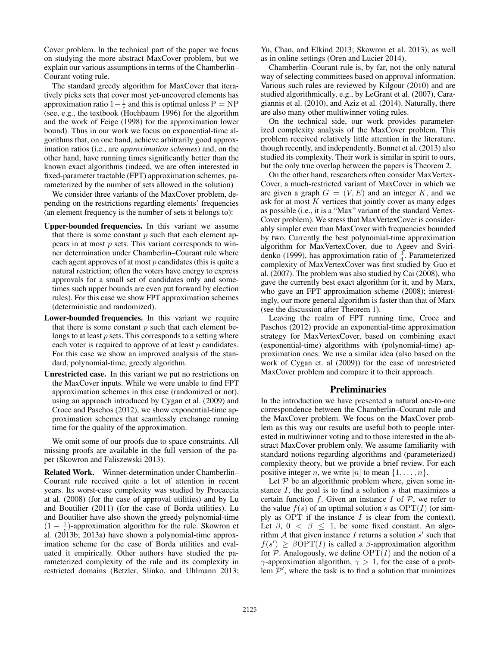Cover problem. In the technical part of the paper we focus on studying the more abstract MaxCover problem, but we explain our various assumptions in terms of the Chamberlin– Courant voting rule.

The standard greedy algorithm for MaxCover that iteratively picks sets that cover most yet-uncovered elements has approximation ratio  $1 - \frac{1}{\epsilon}$  and this is optimal unless P = NP (see, e.g., the textbook (Hochbaum 1996) for the algorithm and the work of Feige (1998) for the approximation lower bound). Thus in our work we focus on exponential-time algorithms that, on one hand, achieve arbitrarily good approximation ratios (i.e., are *approximation schemes*) and, on the other hand, have running times significantly better than the known exact algorithms (indeed, we are often interested in fixed-parameter tractable (FPT) approximation schemes, parameterized by the number of sets allowed in the solution)

We consider three variants of the MaxCover problem, depending on the restrictions regarding elements' frequencies (an element frequency is the number of sets it belongs to):

- Upper-bounded frequencies. In this variant we assume that there is some constant  $p$  such that each element appears in at most  $p$  sets. This variant corresponds to winner determination under Chamberlin–Courant rule where each agent approves of at most  $p$  candidates (this is quite a natural restriction; often the voters have energy to express approvals for a small set of candidates only and sometimes such upper bounds are even put forward by election rules). For this case we show FPT approximation schemes (deterministic and randomized).
- Lower-bounded frequencies. In this variant we require that there is some constant  $p$  such that each element belongs to at least  $p$  sets. This corresponds to a setting where each voter is required to approve of at least p candidates. For this case we show an improved analysis of the standard, polynomial-time, greedy algorithm.
- Unrestricted case. In this variant we put no restrictions on the MaxCover inputs. While we were unable to find FPT approximation schemes in this case (randomized or not), using an approach introduced by Cygan et al. (2009) and Croce and Paschos (2012), we show exponential-time approximation schemes that seamlessly exchange running time for the quality of the approximation.

We omit some of our proofs due to space constraints. All missing proofs are available in the full version of the paper (Skowron and Faliszewski 2013).

Related Work. Winner-determination under Chamberlin– Courant rule received quite a lot of attention in recent years. Its worst-case complexity was studied by Procaccia at al. (2008) (for the case of approval utilities) and by Lu and Boutilier (2011) (for the case of Borda utilities). Lu and Boutilier have also shown the greedy polynomial-time  $(1 - \frac{1}{\epsilon})$ -approximation algorithm for the rule. Skowron et al. (2013b; 2013a) have shown a polynomial-time approximation scheme for the case of Borda utilities and evaluated it empirically. Other authors have studied the parameterized complexity of the rule and its complexity in restricted domains (Betzler, Slinko, and Uhlmann 2013; Yu, Chan, and Elkind 2013; Skowron et al. 2013), as well as in online settings (Oren and Lucier 2014).

Chamberlin–Courant rule is, by far, not the only natural way of selecting committees based on approval information. Various such rules are reviewed by Kilgour (2010) and are studied algorithmically, e.g., by LeGrant et al. (2007), Caragiannis et al. (2010), and Aziz et al. (2014). Naturally, there are also many other multiwinner voting rules.

On the technical side, our work provides parameterized complexity analysis of the MaxCover problem. This problem received relatively little attention in the literature, though recently, and independently, Bonnet et al. (2013) also studied its complexity. Their work is similar in spirit to ours, but the only true overlap between the papers is Theorem 2.

On the other hand, researchers often consider MaxVertex-Cover, a much-restricted variant of MaxCover in which we are given a graph  $G = (V, E)$  and an integer K, and we ask for at most  $K$  vertices that jointly cover as many edges as possible (i.e., it is a "Max" variant of the standard Vertex-Cover problem). We stress that MaxVertexCover is considerably simpler even than MaxCover with frequencies bounded by two. Currently the best polynomial-time approximation algorithm for MaxVertexCover, due to Ageev and Sviridenko (1999), has approximation ratio of  $\frac{3}{4}$ . Parameterized complexity of MaxVertexCover was first studied by Guo et al. (2007). The problem was also studied by Cai (2008), who gave the currently best exact algorithm for it, and by Marx, who gave an FPT approximation scheme (2008); interestingly, our more general algorithm is faster than that of Marx (see the discussion after Theorem 1).

Leaving the realm of FPT running time, Croce and Paschos (2012) provide an exponential-time approximation strategy for MaxVertexCover, based on combining exact (exponential-time) algorithms with (polynomial-time) approximation ones. We use a similar idea (also based on the work of Cygan et. al (2009)) for the case of unrestricted MaxCover problem and compare it to their approach.

#### Preliminaries

In the introduction we have presented a natural one-to-one correspondence between the Chamberlin–Courant rule and the MaxCover problem. We focus on the MaxCover problem as this way our results are useful both to people interested in multiwinner voting and to those interested in the abstract MaxCover problem only. We assume familiarity with standard notions regarding algorithms and (parameterized) complexity theory, but we provide a brief review. For each positive integer *n*, we write [*n*] to mean  $\{1, \ldots, n\}$ .

Let  $P$  be an algorithmic problem where, given some instance  $I$ , the goal is to find a solution  $s$  that maximizes a certain function  $f$ . Given an instance  $I$  of  $P$ , we refer to the value  $f(s)$  of an optimal solution s as  $\text{OPT}(I)$  (or simply as OPT if the instance  $I$  is clear from the context). Let  $\beta$ ,  $0 < \beta \leq 1$ , be some fixed constant. An algorithm A that given instance I returns a solution s' such that  $f(s') \geq \beta \overline{\text{OPT}(I)}$  is called a  $\beta$ -approximation algorithm for  $P$ . Analogously, we define  $\text{OPT}(I)$  and the notion of a  $γ$ -approximation algorithm,  $γ > 1$ , for the case of a problem  $\mathcal{P}'$ , where the task is to find a solution that minimizes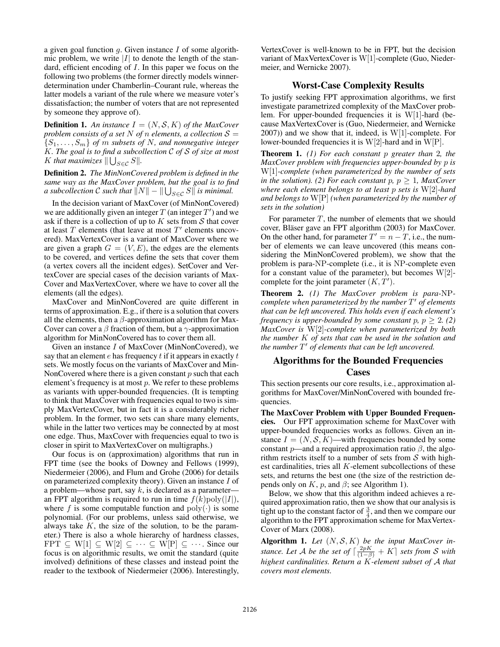a given goal function  $q$ . Given instance  $I$  of some algorithmic problem, we write  $|I|$  to denote the length of the standard, efficient encoding of  $I$ . In this paper we focus on the following two problems (the former directly models winnerdetermination under Chamberlin–Courant rule, whereas the latter models a variant of the rule where we measure voter's dissatisfaction; the number of voters that are not represented by someone they approve of).

**Definition 1.** An instance  $I = (N, S, K)$  of the MaxCover *problem consists of a set* N *of n elements, a collection*  $S =$  $\{S_1, \ldots, S_m\}$  of m subsets of N, and nonnegative integer K*. The goal is to find a subcollection* C *of* S *of size at most* K that maximizes  $\|\bigcup_{S\in\mathcal{C}}S\|.$ 

Definition 2. *The MinNonCovered problem is defined in the same way as the MaxCover problem, but the goal is to find* a subcollection  $\mathcal C$  such that  $\|N\|-\|\bigcup_{S\in\mathcal C}S\|$  is minimal.

In the decision variant of MaxCover (of MinNonCovered) we are additionally given an integer  $T$  (an integer  $T'$ ) and we ask if there is a collection of up to  $K$  sets from  $S$  that cover at least  $T$  elements (that leave at most  $T'$  elements uncovered). MaxVertexCover is a variant of MaxCover where we are given a graph  $G = (V, E)$ , the edges are the elements to be covered, and vertices define the sets that cover them (a vertex covers all the incident edges). SetCover and VertexCover are special cases of the decision variants of Max-Cover and MaxVertexCover, where we have to cover all the elements (all the edges).

MaxCover and MinNonCovered are quite different in terms of approximation. E.g., if there is a solution that covers all the elements, then a  $\beta$ -approximation algorithm for Max-Cover can cover a  $\beta$  fraction of them, but a  $\gamma$ -approximation algorithm for MinNonCovered has to cover them all.

Given an instance I of MaxCover (MinNonCovered), we say that an element  $e$  has frequency  $t$  if it appears in exactly  $t$ sets. We mostly focus on the variants of MaxCover and Min-NonCovered where there is a given constant  $p$  such that each element's frequency is at most  $p$ . We refer to these problems as variants with upper-bounded frequencies. (It is tempting to think that MaxCover with frequencies equal to two is simply MaxVertexCover, but in fact it is a considerably richer problem. In the former, two sets can share many elements, while in the latter two vertices may be connected by at most one edge. Thus, MaxCover with frequencies equal to two is closer in spirit to MaxVertexCover on multigraphs.)

Our focus is on (approximation) algorithms that run in FPT time (see the books of Downey and Fellows (1999), Niedermeier (2006), and Flum and Grohe (2006) for details on parameterized complexity theory). Given an instance I of a problem—whose part, say  $k$ , is declared as a parameteran FPT algorithm is required to run in time  $f(k)$ poly $(|I|)$ , where f is some computable function and  $poly(\cdot)$  is some polynomial. (For our problems, unless said otherwise, we always take  $K$ , the size of the solution, to be the parameter.) There is also a whole hierarchy of hardness classes, FPT  $\subseteq W[1] \subseteq W[2] \subseteq \cdots \subseteq W[P] \subseteq \cdots$ . Since our focus is on algorithmic results, we omit the standard (quite involved) definitions of these classes and instead point the reader to the textbook of Niedermeier (2006). Interestingly,

VertexCover is well-known to be in FPT, but the decision variant of MaxVertexCover is W[1]-complete (Guo, Niedermeier, and Wernicke 2007).

## Worst-Case Complexity Results

To justify seeking FPT approximation algorithms, we first investigate parametrized complexity of the MaxCover problem. For upper-bounded frequencies it is W[1]-hard (because MaxVertexCover is (Guo, Niedermeier, and Wernicke  $2007$ ) and we show that it, indeed, is W[1]-complete. For lower-bounded frequencies it is  $W[2]$ -hard and in  $W[P]$ .

Theorem 1. *(1) For each constant* p *greater than* 2*, the MaxCover problem with frequencies upper-bounded by* p *is* W[1]*-complete (when parameterized by the number of sets in the solution).* (2) For each constant  $p$ ,  $p > 1$ , MaxCover *where each element belongs to at least* p *sets is* W[2]*-hard and belongs to* W[P] *(when parameterized by the number of sets in the solution)*

For parameter  $T$ , the number of elements that we should cover, Bläser gave an FPT algorithm (2003) for MaxCover. On the other hand, for parameter  $T' = n - T$ , i.e., the number of elements we can leave uncovered (this means considering the MinNonCovered problem), we show that the problem is para-NP-complete (i.e., it is NP-complete even for a constant value of the parameter), but becomes  $W[2]$ complete for the joint parameter  $(K, T')$ .

Theorem 2. *(1) The MaxCover problem is para-*NP*complete when parameterized by the number* T <sup>0</sup> *of elements that can be left uncovered. This holds even if each element's frequency is upper-bounded by some constant*  $p$ ,  $p \geq 2$ . (2) *MaxCover is* W[2]*-complete when parameterized by both the number* K *of sets that can be used in the solution and the number* T <sup>0</sup> *of elements that can be left uncovered.*

# Algorithms for the Bounded Frequencies Cases

This section presents our core results, i.e., approximation algorithms for MaxCover/MinNonCovered with bounded frequencies.

The MaxCover Problem with Upper Bounded Frequencies. Our FPT approximation scheme for MaxCover with upper-bounded frequencies works as follows. Given an instance  $I = (N, S, K)$ —with frequencies bounded by some constant p—and a required approximation ratio  $\beta$ , the algorithm restricts itself to a number of sets from  $S$  with highest cardinalities, tries all K-element subcollections of these sets, and returns the best one (the size of the restriction depends only on  $K$ ,  $p$ , and  $\beta$ ; see Algorithm 1).

Below, we show that this algorithm indeed achieves a required approximation ratio, then we show that our analysis is tight up to the constant factor of  $\frac{3}{4}$ , and then we compare our algorithm to the FPT approximation scheme for MaxVertex-Cover of Marx (2008).

Algorithm 1. Let  $(N, \mathcal{S}, K)$  be the input MaxCover in*stance. Let A be the set of*  $\lceil \frac{2pK}{(1-\beta)} + K \rceil$  *sets from S with highest cardinalities. Return a* K*-element subset of* A *that covers most elements.*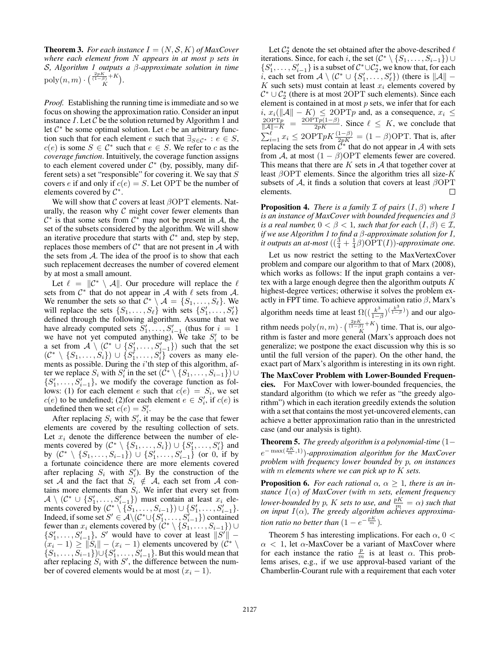**Theorem 3.** *For each instance*  $I = (N, S, K)$  *of MaxCover where each element from* N *appears in at most* p *sets in* S*, Algorithm 1 outputs a* β*-approximate solution in time*  $\mathrm{poly}(n,m) \cdot \binom{\frac{2pK}{(1-\beta)}+K}{K}.$ 

*Proof.* Establishing the running time is immediate and so we focus on showing the approximation ratio. Consider an input instance  $I$ . Let  $C$  be the solution returned by Algorithm 1 and let  $C^*$  be some optimal solution. Let c be an arbitrary function such that for each element e such that  $\exists_{S \in \mathcal{C}^*} : e \in S$ ,  $c(e)$  is some  $S \in \mathcal{C}^*$  such that  $e \in S$ . We refer to c as the *coverage function*. Intuitively, the coverage function assigns to each element covered under  $C^*$  (by, possibly, many different sets) a set "responsible" for covering it. We say that  $S$ covers e if and only if  $c(e) = S$ . Let OPT be the number of elements covered by  $\mathcal{C}^*$ .

We will show that  $\mathcal C$  covers at least  $\beta$ OPT elements. Naturally, the reason why  $C$  might cover fewer elements than  $\mathcal{C}^*$  is that some sets from  $\mathcal{C}^*$  may not be present in A, the set of the subsets considered by the algorithm. We will show an iterative procedure that starts with  $\mathcal{C}^*$  and, step by step, replaces those members of  $C^*$  that are not present in  $\mathcal A$  with the sets from  $A$ . The idea of the proof is to show that each such replacement decreases the number of covered element by at most a small amount.

Let  $\ell = ||\mathcal{C}^* \setminus \mathcal{A}||$ . Our procedure will replace the  $\ell$ sets from  $C^*$  that do not appear in A with  $\ell$  sets from A. We renumber the sets so that  $C^* \setminus A = \{S_1, \ldots, S_\ell\}$ . We will replace the sets  $\{S_1, \ldots, S_\ell\}$  with sets  $\{S'_1, \ldots, S'_\ell\}$ defined through the following algorithm. Assume that we have already computed sets  $S'_1, \ldots, S'_{i-1}$  (thus for  $i = 1$ ) we have not yet computed anything). We take  $S_i'$  to be a set from  $\mathcal{A} \setminus (\mathcal{C}^* \cup \{S'_1, \ldots, S'_{i-1}\})$  such that the set  $(C^* \setminus \{S_1, \ldots, S_i\}) \cup \{S_1^i, \ldots, S_i^i\}$  covers as many elements as possible. During the *i*'th step of this algorithm, after we replace  $S_i$  with  $S_i'$  in the set  $(\mathcal{C}^* \setminus \{S_1, \ldots, S_{i-1}\}) \cup$  $\{S'_1, \ldots, S'_{i-1}\}$ , we modify the coverage function as follows: (1) for each element e such that  $c(e) = S_i$ , we set  $c(e)$  to be undefined; (2) for each element  $e \in S'_i$ , if  $c(e)$  is undefined then we set  $c(e) = S'_i$ .

After replacing  $S_i$  with  $S'_i$ , it may be the case that fewer elements are covered by the resulting collection of sets. Let  $x_i$  denote the difference between the number of elements covered by  $(C^* \setminus \{S_1, \ldots, S_i\}) \cup \{S'_1, \ldots, S'_i\}$  and by  $(C^* \setminus \{S_1, \ldots, S_{i-1}\}) \cup \{S'_1, \ldots, S'_{i-1}\}$  (or 0, if by a fortunate coincidence there are more elements covered after replacing  $S_i$  with  $S'_i$ ). By the construction of the set A and the fact that  $S_i \notin A$ , each set from A contains more elements than  $S_i$ . We infer that every set from  $\mathcal{A} \setminus (\mathcal{C}^* \cup \{S'_1, \ldots, S'_{i-1}\})$  must contain at least  $x_i$  elements covered by  $(C^* \setminus \{S_1, \ldots, S_{i-1}\}) \cup \{S'_1, \ldots, S'_{i-1}\}.$ <br>Indeed, if some set  $S' \in \mathcal{A} \setminus (C^* \cup \{S'_1, \ldots, S'_{i-1}\})$  contained fewer than  $x_i$  elements covered by  $(C^* \setminus \{S_1, \ldots, S_{i-1}\}) \cup$  $\{S'_1, \ldots, S'_{i-1}\}\$ , S' would have to cover at least  $||S'|| (x_i - 1) \ge ||S_i|| - (x_i - 1)$  elements uncovered by  $(C^*)$  $\{S_1, \ldots, S_{i-1}\}\cup \{S'_1, \ldots, S'_{i-1}\}\)$ . But this would mean that after replacing  $S_i$  with  $S'$ , the difference between the number of covered elements would be at most  $(x_i - 1)$ .

Let  $\mathcal{C}_2^*$  denote the set obtained after the above-described  $\ell$ iterations. Since, for each i, the set  $(C^* \setminus \{S_1, \ldots, S_{i-1}\}) \cup$  $\{S'_1, \ldots, S'_{i-1}\}\$ is a subset of  $C^* \cup C_2^*$ , we know that, for each i, each set from  $\mathcal{A} \setminus (\mathcal{C}^* \cup \{S'_1, \ldots, S'_\ell\})$  (there is  $||\mathcal{A}||$  –  $K$  such sets) must contain at least  $x_i$  elements covered by  $C^* \cup C_2^*$  (there is at most 2OPT such elements). Since each element is contained in at most  $p$  sets, we infer that for each  $i, x_i(\|\mathcal{A}\| - K) \le 2\text{OPT}p$  and, as a consequence,  $x_i \le$ <br>  $\frac{2\text{OPT}p}{\|\mathcal{A}\| - K} = \frac{2\text{OPT}p(1-\beta)}{2pK}$ . Since  $\ell \le K$ , we conclude that  $\sum_{i=1}^{\ell} x_i \le 2\text{OPT}pK\frac{(1-\beta)}{2pK} = (1-\beta)\text{OPT}$ . That is, after replacing the sets from  $\vec{C}^*$  that do not appear in A with sets from A, at most  $(1 - \beta)$ OPT elements fewer are covered. This means that there are  $K$  sets in  $A$  that together cover at least  $\beta$ OPT elements. Since the algorithm tries all size-K subsets of A, it finds a solution that covers at least  $\beta$ OPT elements. elements.

**Proposition 4.** *There is a family*  $\mathcal I$  *of pairs*  $(I, \beta)$  *where*  $I$ *is an instance of MaxCover with bounded frequencies and* β *is a real number,*  $0 < \beta < 1$ *, such that for each*  $(I, \beta) \in \mathcal{I}$ *, if we use Algorithm 1 to find a* β*-approximate solution for* I*, it outputs an at-most*  $\left( (\frac{3}{4} + \frac{1}{4}\beta) \widehat{OPT}(I) \right)$ *-approximate one.* 

Let us now restrict the setting to the MaxVertexCover problem and compare our algorithm to that of Marx (2008), which works as follows: If the input graph contains a vertex with a large enough degree then the algorithm outputs  $K$ highest-degree vertices; otherwise it solves the problem exactly in FPT time. To achieve approximation ratio  $\beta$ , Marx's algorithm needs time at least  $\Omega((\frac{k^3}{1-1}))$  $\frac{k^3}{1-\beta}$ ) $\frac{k^3}{1-\beta}$ ) and our algorithm needs  $\text{poly}(n, m) \cdot \binom{\frac{2pK}{(1-\beta)}+K}{K}$  time. That is, our algorithm is faster and more general (Marx's approach does not generalize; we postpone the exact discussion why this is so until the full version of the paper). On the other hand, the exact part of Marx's algorithm is interesting in its own right. The MaxCover Problem with Lower-Bounded Frequencies. For MaxCover with lower-bounded frequencies, the

standard algorithm (to which we refer as "the greedy algorithm") which in each iteration greedily extends the solution with a set that contains the most yet-uncovered elements, can achieve a better approximation ratio than in the unrestricted case (and our analysis is tight).

Theorem 5. *The greedy algorithm is a polynomial-time* (1−  $e^{-\max(\frac{pK}{m},1)})$ -approximation algorithm for the MaxCover *problem with frequency lower bounded by* p*, on instances with* m *elements where we can pick up to* K *sets.*

**Proposition 6.** *For each rational*  $\alpha$ ,  $\alpha > 1$ *, there is an instance* I(α) *of MaxCover (with* m *sets, element frequency lower-bounded by p, K sets to use, and*  $\frac{pK}{m} = \alpha$ *) such that on input* I(α)*, The greedy algorithm achieves approximation ratio no better than*  $(1 - e^{-\frac{pK}{m}})$ *.* 

Theorem 5 has interesting implications. For each  $\alpha$ , 0 <  $\alpha$  < 1, let  $\alpha$ -MaxCover be a variant of MaxCover where for each instance the ratio  $\frac{p}{m}$  is at least  $\alpha$ . This problems arises, e.g., if we use approval-based variant of the Chamberlin-Courant rule with a requirement that each voter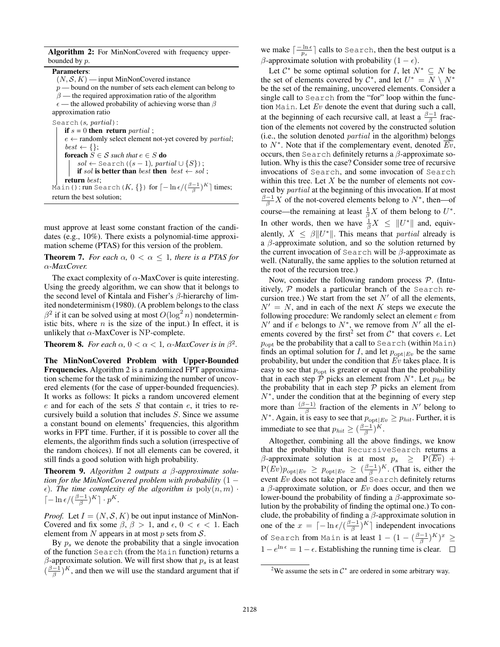|                  |  | Algorithm 2: For MinNonCovered with frequency upper- |  |  |
|------------------|--|------------------------------------------------------|--|--|
| bounded by $p$ . |  |                                                      |  |  |

Parameters:  $(N, \mathcal{S}, K)$  — input MinNonCovered instance  $p$  — bound on the number of sets each element can belong to  $\beta$  — the required approximation ratio of the algorithm  $\epsilon$  — the allowed probability of achieving worse than  $\beta$ approximation ratio Search(s*,* partial): if  $s = 0$  then return *partial* ;  $e \leftarrow$  randomly select element not-yet covered by *partial*;  $\emph{best} \leftarrow \{\};$ **foreach**  $S \in \mathcal{S}$  *such that*  $e \in S$  **do**  $sol \leftarrow$  Search ( $(s - 1)$ *, partial*  $\cup \{S\}$ ); if sol is better than best then best  $\leftarrow$  sol; return best; Main(): run Search(K, {}) for  $\lceil -\ln \epsilon /(\frac{\beta-1}{\beta})^K \rceil$  times; return the best solution;

must approve at least some constant fraction of the candidates (e.g., 10%). There exists a polynomial-time approximation scheme (PTAS) for this version of the problem.

**Theorem 7.** *For each*  $\alpha$ ,  $0 < \alpha \leq 1$ , *there is a PTAS for* α*-MaxCover.*

The exact complexity of  $\alpha$ -MaxCover is quite interesting. Using the greedy algorithm, we can show that it belongs to the second level of Kintala and Fisher's β-hierarchy of limited nondeterminism (1980). (A problem belongs to the class  $\beta^2$  if it can be solved using at most  $O(\log^2 n)$  nondeterministic bits, where  $n$  is the size of the input.) In effect, it is unlikely that  $\alpha$ -MaxCover is NP-complete.

**Theorem 8.** *For each*  $\alpha$ ,  $0 < \alpha < 1$ ,  $\alpha$ -MaxCover is in  $\beta^2$ .

The MinNonCovered Problem with Upper-Bounded Frequencies. Algorithm 2 is a randomized FPT approximation scheme for the task of minimizing the number of uncovered elements (for the case of upper-bounded frequencies). It works as follows: It picks a random uncovered element  $e$  and for each of the sets  $S$  that contain  $e$ , it tries to recursively build a solution that includes S. Since we assume a constant bound on elements' frequencies, this algorithm works in FPT time. Further, if it is possible to cover all the elements, the algorithm finds such a solution (irrespective of the random choices). If not all elements can be covered, it still finds a good solution with high probability.

Theorem 9. *Algorithm 2 outputs a* β*-approximate solution for the MinNonCovered problem with probability* (1 −  $\epsilon$ ). The time complexity of the algorithm is  $poly(n, m)$ .  $\lceil -\ln \epsilon / (\frac{\beta-1}{\beta})^K \rceil \cdot p^K.$ 

*Proof.* Let  $I = (N, S, K)$  be out input instance of MinNon-Covered and fix some  $\beta$ ,  $\beta > 1$ , and  $\epsilon$ ,  $0 < \epsilon < 1$ . Each element from N appears in at most  $p$  sets from  $S$ .

By  $p_s$  we denote the probability that a single invocation of the function Search (from the Main function) returns a  $\beta$ -approximate solution. We will first show that  $p_s$  is at least  $(\frac{\beta-1}{\beta})^K$ , and then we will use the standard argument that if

we make  $\lceil \frac{-\ln \epsilon}{p_s} \rceil$  calls to Search, then the best output is a β-approximate solution with probability  $(1 - \epsilon)$ .

Let  $\mathcal{C}^*$  be some optimal solution for I, let  $N^* \subseteq N$  be the set of elements covered by  $\mathcal{C}^*$ , and let  $U^* = N \setminus N^*$ be the set of the remaining, uncovered elements. Consider a single call to Search from the "for" loop within the function Main. Let  $Ev$  denote the event that during such a call, at the beginning of each recursive call, at least a  $\frac{\beta - 1}{\beta}$  fraction of the elements not covered by the constructed solution (i.e., the solution denoted partial in the algorithm) belongs to  $N^*$ . Note that if the complementary event, denoted  $\overline{Ev}$ , occurs, then Search definitely returns a  $\beta$ -approximate solution. Why is this the case? Consider some tree of recursive invocations of Search, and some invocation of Search within this tree. Let  $X$  be the number of elements not covered by partial at the beginning of this invocation. If at most  $\frac{\beta-1}{\beta}X$  of the not-covered elements belong to  $N^*$ , then—of course—the remaining at least  $\frac{1}{\beta}X$  of them belong to  $U^*$ . In other words, then we have  $\frac{1}{\beta}X \leq ||U^*||$  and, equivalently,  $X \leq \beta ||U^*||$ . This means that *partial* already is a  $\beta$ -approximate solution, and so the solution returned by the current invocation of Search will be  $\beta$ -approximate as well. (Naturally, the same applies to the solution returned at the root of the recursion tree.)

Now, consider the following random process  $P$ . (Intuitively,  $P$  models a particular branch of the Search recursion tree.) We start from the set  $N'$  of all the elements,  $N' = N$ , and in each of the next K steps we execute the following procedure: We randomly select an element  $e$  from N' and if e belongs to  $N^*$ , we remove from N' all the elements covered by the first<sup>2</sup> set from  $C^*$  that covers e. Let  $p_{\text{opt}}$  be the probability that a call to Search (within Main) finds an optimal solution for I, and let  $p_{\text{opt}|Ev}$  be the same probability, but under the condition that  $E<sup>v</sup>$  takes place. It is easy to see that  $p_{\text{opt}}$  is greater or equal than the probability that in each step  $\hat{\mathcal{P}}$  picks an element from  $N^*$ . Let  $p_{hit}$  be the probability that in each step  $P$  picks an element from N<sup>∗</sup> , under the condition that at the beginning of every step more than  $\frac{(\beta-1)}{\beta}$  fraction of the elements in N' belong to  $N^*$ . Again, it is easy to see that  $p_{\text{opt}|E_v} \ge p_{hit}$ . Further, it is immediate to see that  $p_{hit} \ge (\frac{\beta - 1}{\beta})^K$ .

Altogether, combining all the above findings, we know that the probability that RecursiveSearch returns a  $\beta$ -approximate solution is at most  $p_s \geq P(Ev) +$  $P(Ev)p_{\text{opt}|Ev} \ge p_{\text{opt}|Ev} \ge (\frac{\beta-1}{\beta})^K$ . (That is, either the event  $Ev$  does not take place and Search definitely returns a  $\beta$ -approximate solution, or Ev does occur, and then we lower-bound the probability of finding a  $\beta$ -approximate solution by the probability of finding the optimal one.) To conclude, the probability of finding a  $\beta$ -approximate solution in one of the  $x = \lceil -\ln \epsilon / (\frac{\beta - 1}{\beta})^K \rceil$  independent invocations of Search from Main is at least  $1-(1-(\frac{\beta-1}{\beta})^K)^x$   $\geq$  $1 - e^{\ln \epsilon} = 1 - \epsilon$ . Establishing the running time is clear.

<sup>&</sup>lt;sup>2</sup>We assume the sets in  $C^*$  are ordered in some arbitrary way.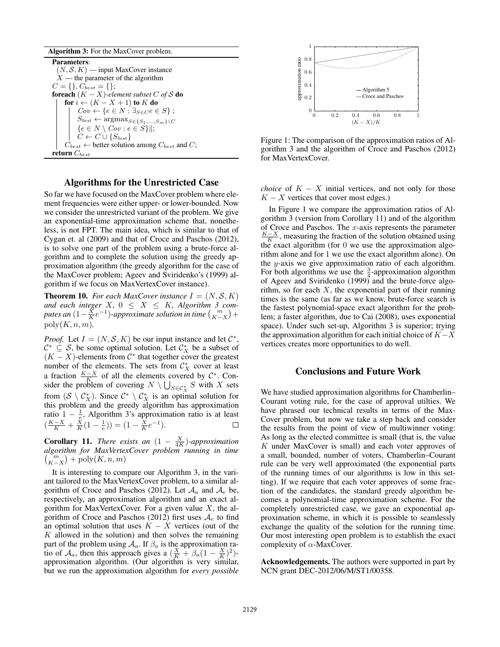| <b>Algorithm 3:</b> For the MaxCover problem.                             |
|---------------------------------------------------------------------------|
| <b>Parameters:</b>                                                        |
| $(N, \mathcal{S}, K)$ — input MaxCover instance                           |
| $X$ — the parameter of the algorithm                                      |
| $C = \{\}, C_{best} = \{\};$                                              |
| <b>foreach</b> $(K - X)$ -element subset C of S <b>do</b>                 |
| for $i \leftarrow (K - X + 1)$ to K do                                    |
| $Cov \leftarrow \{e \in N : \exists_{S \in C} e \in S\};$                 |
| $S_{best} \leftarrow \arg\!\max_{S \in \{S_1, \ldots, S_m\} \setminus C}$ |
| $\{e \in N \setminus Cov : e \in S\}\ ;$                                  |
| $C \leftarrow C \cup \{S_{best}\}\$                                       |
| $C_{best} \leftarrow$ better solution among $C_{best}$ and C;             |
| return $C_{best}$                                                         |

### Algorithms for the Unrestricted Case

So far we have focused on the MaxCover problem where element frequencies were either upper- or lower-bounded. Now we consider the unrestricted variant of the problem. We give an exponential-time approximation scheme that, nonetheless, is not FPT. The main idea, which is similar to that of Cygan et. al (2009) and that of Croce and Paschos (2012), is to solve one part of the problem using a brute-force algorithm and to complete the solution using the greedy approximation algorithm (the greedy algorithm for the case of the MaxCover problem; Ageev and Sviridenko's (1999) algorithm if we focus on MaxVertexCover instance).

**Theorem 10.** *For each MaxCover instance*  $I = (N, S, K)$ *and each integer*  $X$ ,  $0 \leq X \leq K$ , Algorithm 3 computes an  $(1 - \frac{\breve{X}}{K}e^{-1})$ -approximate solution in time  ${m \choose K-X} +$  $poly(K, n, m)$ .

*Proof.* Let  $I = (N, S, K)$  be our input instance and let  $C^*$ ,  $\mathcal{C}^* \subseteq \mathcal{S}$ , be some optimal solution. Let  $\mathcal{C}_X^*$  be a subset of  $(K - X)$ -elements from  $\mathcal{C}^*$  that together cover the greatest number of the elements. The sets from  $\mathcal{C}_X^*$  cover at least a fraction  $\frac{K-X}{K}$  of all the elements covered by  $\mathcal{C}^*$ . Consider the problem of covering  $N \setminus \bigcup_{S \in \mathcal{C}_X^*} S$  with X sets from  $(S \setminus C^*_X)$ . Since  $C^* \setminus C^*_X$  is an optimal solution for this problem and the greedy algorithm has approximation ratio 1 −  $\frac{1}{e}$ , Algorithm 3's approximation ratio is at least  $\left(\frac{K-X}{K} + \frac{X}{K}(1-\frac{1}{e})\right) = \left(1 - \frac{X}{K}e^{-1}\right).$ 

**Corollary 11.** *There exists an*  $(1 - \frac{X}{4K})$ *-approximation algorithm for MaxVertexCover problem running in time*  $\binom{m}{K-X}$  + poly $(K, n, m)$ 

It is interesting to compare our Algorithm 3, in the variant tailored to the MaxVertexCover problem, to a similar algorithm of Croce and Paschos (2012). Let  $A_a$  and  $A_e$  be, respectively, an approximation algorithm and an exact algorithm for MaxVertexCover. For a given value  $X$ , the algorithm of Croce and Paschos (2012) first uses  $A_e$  to find an optimal solution that uses  $K - X$  vertices (out of the  $K$  allowed in the solution) and then solves the remaining part of the problem using  $A_a$ . If  $\beta_a$  is the approximation ratio of  $A_a$ , then this approach gives a  $(\frac{X}{K} + \beta_a(1 - \frac{X}{K})^2)$ approximation algorithm. (Our algorithm is very similar, but we run the approximation algorithm for *every possible*



Figure 1: The comparison of the approximation ratios of Algorithm 3 and the algorithm of Croce and Paschos (2012) for MaxVertexCover.

*choice* of  $K - X$  initial vertices, and not only for those  $K - X$  vertices that cover most edges.)

In Figure 1 we compare the approximation ratios of Algorithm 3 (version from Corollary 11) and of the algorithm of Croce and Paschos. The  $x$ -axis represents the parameter  $\frac{K-X}{K}$ , measuring the fraction of the solution obtained using the exact algorithm (for 0 we use the approximation algorithm alone and for 1 we use the exact algorithm alone). On the y-axis we give approximation ratio of each algorithm. For both algorithms we use the  $\frac{3}{4}$ -approximation algorithm of Ageev and Sviridenko (1999) and the brute-force algorithm, so for each  $X$ , the exponential part of their running times is the same (as far as we know, brute-force search is the fastest polynomial-space exact algorithm for the problem; a faster algorithm, due to Cai (2008), uses exponential space). Under such set-up, Algorithm 3 is superior; trying the approximation algorithm for each initial choice of  $K-X$ vertices creates more opportunities to do well.

### Conclusions and Future Work

We have studied approximation algorithms for Chamberlin– Courant voting rule, for the case of approval utilties. We have phrased our technical results in terms of the Max-Cover problem, but now we take a step back and consider the results from the point of view of multiwinner voting: As long as the elected committee is small (that is, the value K under MaxCover is small) and each voter approves of a small, bounded, number of voters, Chamberlin–Courant rule can be very well approximated (the exponential parts of the running times of our algorithms is low in this setting). If we require that each voter approves of some fraction of the candidates, the standard greedy algorithm becomes a polynomial-time approximation scheme. For the completely unrestricted case, we gave an exponential approximation scheme, in which it is possible to seamlessly exchange the quality of the solution for the running time. Our most interesting open problem is to establish the exact complexity of  $\alpha$ -MaxCover.

Acknowledgements. The authors were supported in part by NCN grant DEC-2012/06/M/ST1/00358.